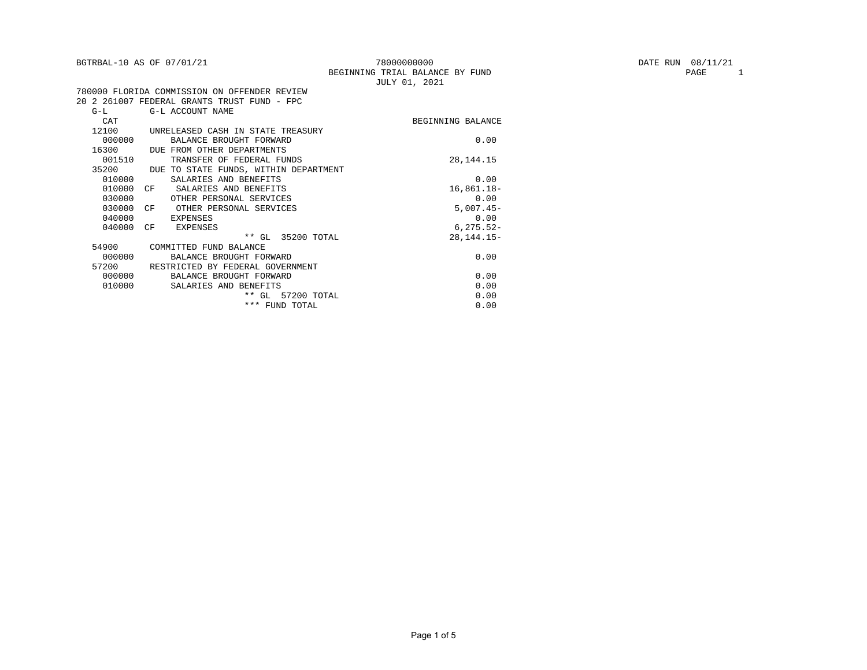|        | BGTRBAL-10 AS OF 07/01/21                    | 78000000000                                      | DATE RUN 08/11/21 |
|--------|----------------------------------------------|--------------------------------------------------|-------------------|
|        |                                              | BEGINNING TRIAL BALANCE BY FUND<br>JULY 01, 2021 | PAGE              |
|        | 780000 FLORIDA COMMISSION ON OFFENDER REVIEW |                                                  |                   |
|        | 20 2 261007 FEDERAL GRANTS TRUST FUND - FPC  |                                                  |                   |
| $G-L$  | G-L ACCOUNT NAME                             |                                                  |                   |
| CAT    |                                              | BEGINNING BALANCE                                |                   |
| 12100  | UNRELEASED CASH IN STATE TREASURY            |                                                  |                   |
| 000000 | BALANCE BROUGHT FORWARD                      | 0.00                                             |                   |
| 16300  | DUE FROM OTHER DEPARTMENTS                   |                                                  |                   |
| 001510 | TRANSFER OF FEDERAL FUNDS                    | 28, 144. 15                                      |                   |
| 35200  | DUE TO STATE FUNDS, WITHIN DEPARTMENT        |                                                  |                   |
| 010000 | SALARIES AND BENEFITS                        | 0.00                                             |                   |
| 010000 | SALARIES AND BENEFITS<br>CF                  | $16,861.18-$                                     |                   |
| 030000 | OTHER PERSONAL SERVICES                      | 0.00                                             |                   |
| 030000 | CF<br>OTHER PERSONAL SERVICES                | $5,007.45-$                                      |                   |
| 040000 | EXPENSES                                     | 0.00                                             |                   |
| 040000 | CF<br><b>EXPENSES</b>                        | $6, 275.52 -$                                    |                   |
|        | ** GL 35200 TOTAL                            | 28, 144. 15-                                     |                   |
| 54900  | COMMITTED FUND BALANCE                       |                                                  |                   |
| 000000 | BALANCE BROUGHT FORWARD                      | 0.00                                             |                   |
| 57200  | RESTRICTED BY FEDERAL GOVERNMENT             |                                                  |                   |
| 000000 | BALANCE BROUGHT FORWARD                      | 0.00                                             |                   |
| 010000 | SALARIES AND BENEFITS                        | 0.00                                             |                   |
|        | ** GL 57200 TOTAL                            | 0.00                                             |                   |
|        | *** FUND TOTAL                               | 0.00                                             |                   |

PAGE 1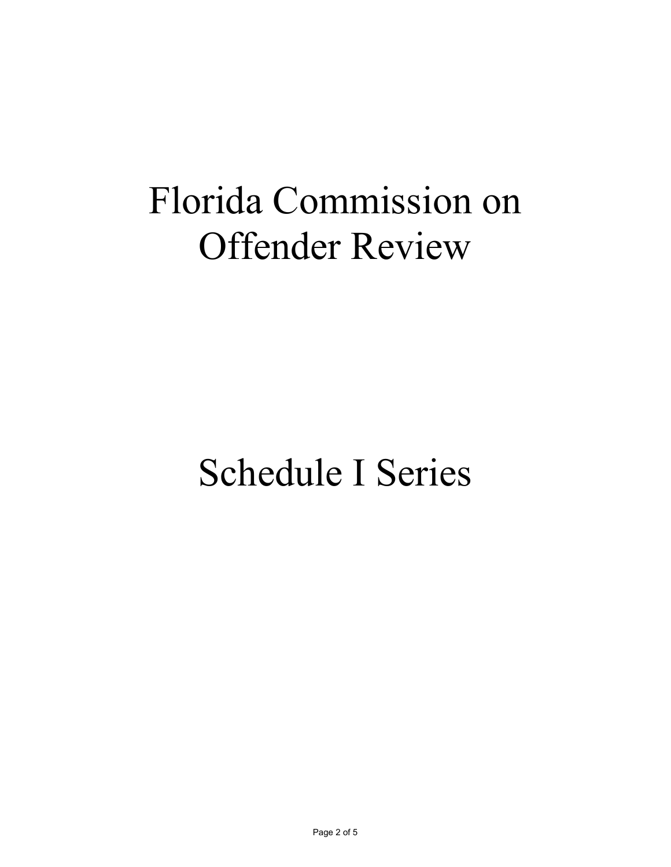# Florida Commission on Offender Review

## Schedule I Series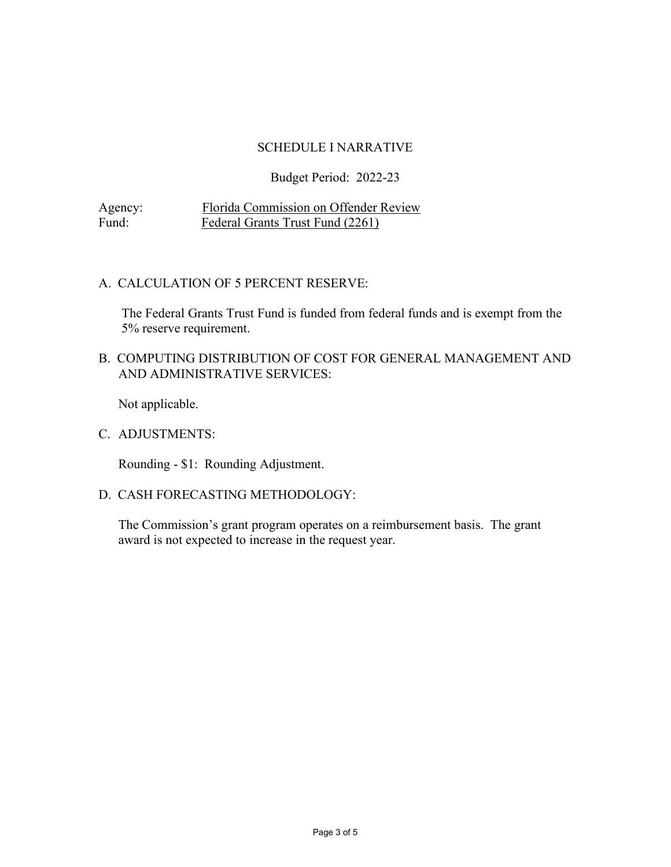#### SCHEDULE I NARRATIVE

#### Budget Period: 2022-23

Agency: Florida Commission on Offender Review<br>Fund: Federal Grants Trust Fund (2261) Federal Grants Trust Fund (2261)

#### A. CALCULATION OF 5 PERCENT RESERVE:

The Federal Grants Trust Fund is funded from federal funds and is exempt from the 5% reserve requirement.

#### B. COMPUTING DISTRIBUTION OF COST FOR GENERAL MANAGEMENT AND AND ADMINISTRATIVE SERVICES:

Not applicable.

C. ADJUSTMENTS:

Rounding - \$1: Rounding Adjustment.

#### D. CASH FORECASTING METHODOLOGY:

The Commission's grant program operates on a reimbursement basis. The grant award is not expected to increase in the request year.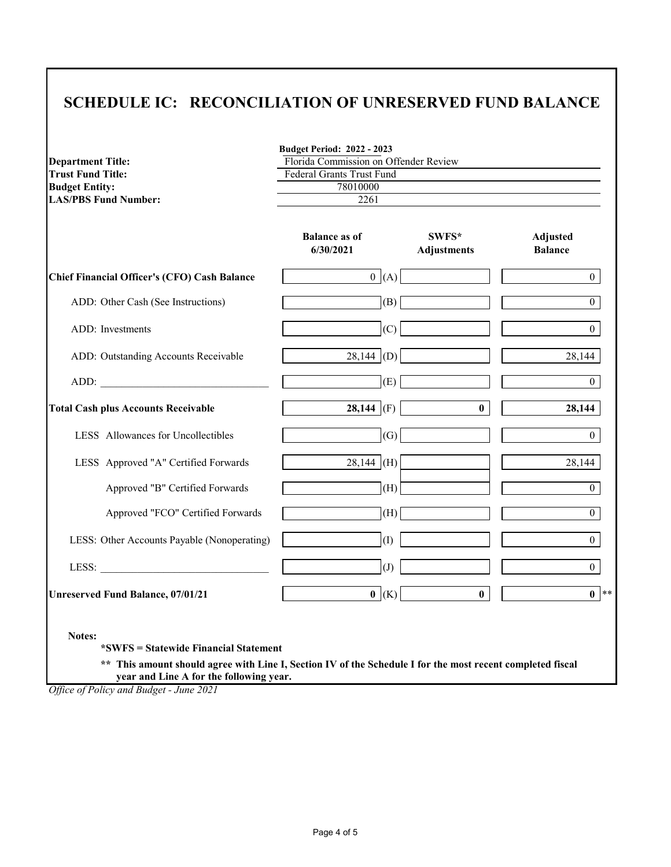## **SCHEDULE IC: RECONCILIATION OF UNRESERVED FUND BALANCE**

| <b>Department Title:</b>                            | <b>Budget Period: 2022 - 2023</b><br>Florida Commission on Offender Review |                             |                            |
|-----------------------------------------------------|----------------------------------------------------------------------------|-----------------------------|----------------------------|
| <b>Trust Fund Title:</b>                            | Federal Grants Trust Fund                                                  |                             |                            |
| <b>Budget Entity:</b>                               | 78010000                                                                   |                             |                            |
| <b>LAS/PBS Fund Number:</b>                         | 2261                                                                       |                             |                            |
|                                                     | <b>Balance as of</b><br>6/30/2021                                          | SWFS*<br><b>Adjustments</b> | Adjusted<br><b>Balance</b> |
| <b>Chief Financial Officer's (CFO) Cash Balance</b> | 0 (A)                                                                      |                             | $\theta$                   |
| ADD: Other Cash (See Instructions)                  | (B)                                                                        |                             | $\overline{0}$             |
| ADD: Investments                                    | (C)                                                                        |                             | $\overline{0}$             |
| ADD: Outstanding Accounts Receivable                | 28,144 (D)                                                                 |                             | 28,144                     |
| ADD:                                                | (E)                                                                        |                             | $\overline{0}$             |
| <b>Total Cash plus Accounts Receivable</b>          | 28,144 (F)                                                                 | $\mathbf{0}$                | 28,144                     |
| LESS Allowances for Uncollectibles                  | (G)                                                                        |                             | $\overline{0}$             |
| LESS Approved "A" Certified Forwards                | $28,144$ (H)                                                               |                             | 28,144                     |
| Approved "B" Certified Forwards                     | (H)                                                                        |                             | $\overline{0}$             |
| Approved "FCO" Certified Forwards                   | (H)                                                                        |                             | $\overline{0}$             |
| LESS: Other Accounts Payable (Nonoperating)         | $\left( \Gamma \right)$                                                    |                             | $\overline{0}$             |
| LESS: $\qquad \qquad$                               | $\overline{J}$                                                             |                             | $\overline{0}$             |
| <b>Unreserved Fund Balance, 07/01/21</b>            | $\mathbf{0}$ (K)                                                           | $\bf{0}$                    | $0^{**}$                   |

 **year and Line A for the following year.**

*Office of Policy and Budget - June 2021*